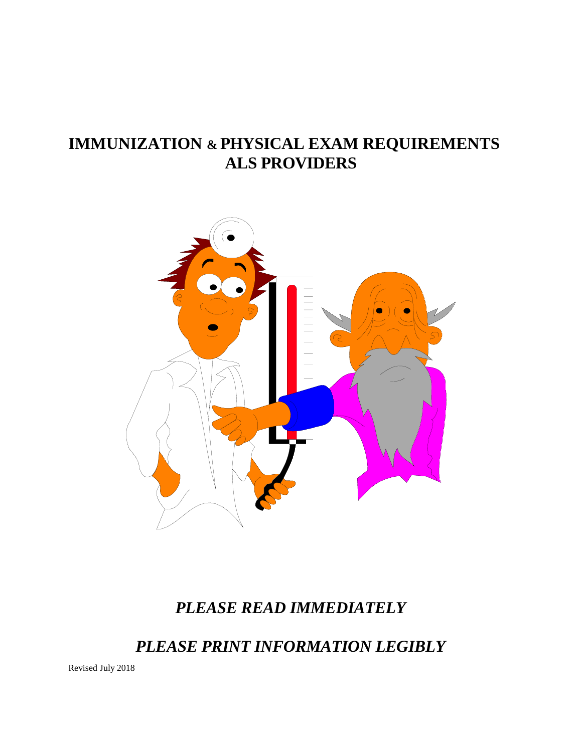# **IMMUNIZATION & PHYSICAL EXAM REQUIREMENTS ALS PROVIDERS**



# *PLEASE READ IMMEDIATELY*

*PLEASE PRINT INFORMATION LEGIBLY*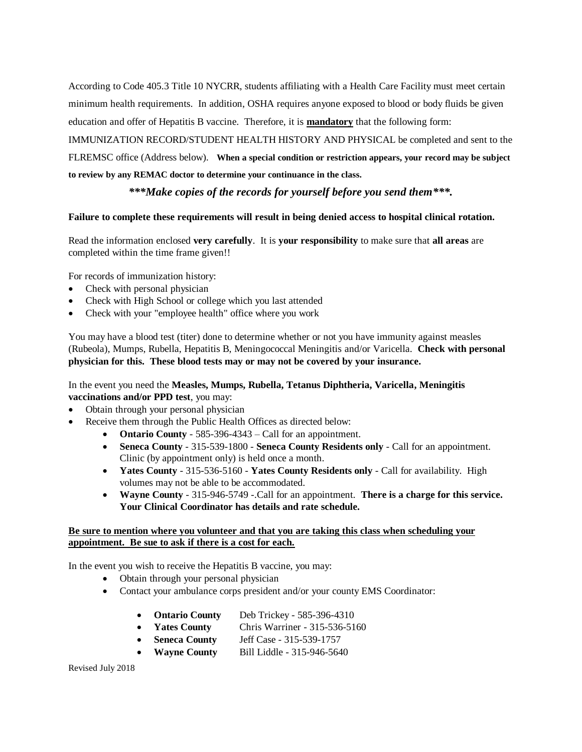According to Code 405.3 Title 10 NYCRR, students affiliating with a Health Care Facility must meet certain minimum health requirements. In addition, OSHA requires anyone exposed to blood or body fluids be given education and offer of Hepatitis B vaccine. Therefore, it is **mandatory** that the following form:

IMMUNIZATION RECORD/STUDENT HEALTH HISTORY AND PHYSICAL be completed and sent to the FLREMSC office (Address below). **When a special condition or restriction appears, your record may be subject to review by any REMAC doctor to determine your continuance in the class.**

## *\*\*\*Make copies of the records for yourself before you send them\*\*\*.*

#### **Failure to complete these requirements will result in being denied access to hospital clinical rotation.**

Read the information enclosed **very carefully**. It is **your responsibility** to make sure that **all areas** are completed within the time frame given!!

For records of immunization history:

- Check with personal physician
- Check with High School or college which you last attended
- Check with your "employee health" office where you work

You may have a blood test (titer) done to determine whether or not you have immunity against measles (Rubeola), Mumps, Rubella, Hepatitis B, Meningococcal Meningitis and/or Varicella. **Check with personal physician for this. These blood tests may or may not be covered by your insurance.**

## In the event you need the **Measles, Mumps, Rubella, Tetanus Diphtheria, Varicella, Meningitis vaccinations and/or PPD test**, you may:

- Obtain through your personal physician
- Receive them through the Public Health Offices as directed below:
	- **Ontario County** 585-396-4343 Call for an appointment.
	- **Seneca County** 315-539-1800 **Seneca County Residents only** Call for an appointment. Clinic (by appointment only) is held once a month.
	- **Yates County** 315-536-5160 **Yates County Residents only** Call for availability. High volumes may not be able to be accommodated.
	- **Wayne County** 315-946-5749 -.Call for an appointment. **There is a charge for this service. Your Clinical Coordinator has details and rate schedule.**

#### **Be sure to mention where you volunteer and that you are taking this class when scheduling your appointment. Be sue to ask if there is a cost for each.**

In the event you wish to receive the Hepatitis B vaccine, you may:

- Obtain through your personal physician
- Contact your ambulance corps president and/or your county EMS Coordinator:
	- **Ontario County** Deb Trickey 585-396-4310
	- **Yates County** Chris Warriner 315-536-5160
	- **Seneca County** Jeff Case 315-539-1757
	- **Wayne County** Bill Liddle 315-946-5640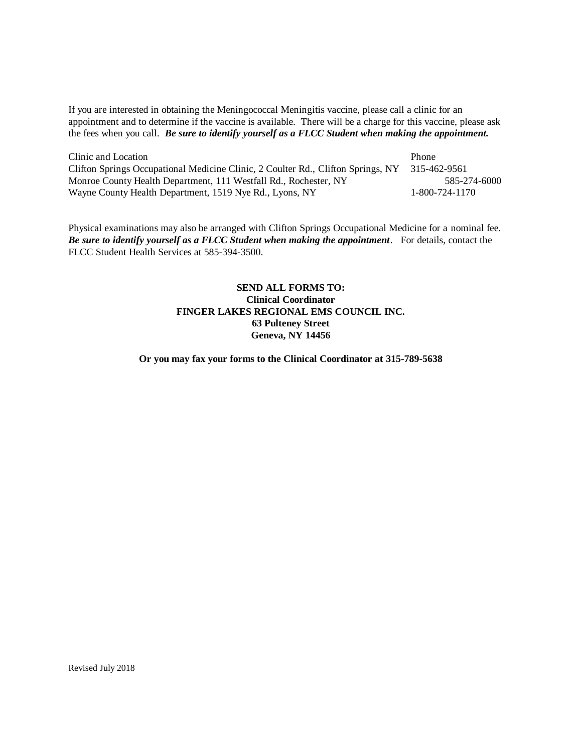If you are interested in obtaining the Meningococcal Meningitis vaccine, please call a clinic for an appointment and to determine if the vaccine is available. There will be a charge for this vaccine, please ask the fees when you call. *Be sure to identify yourself as a FLCC Student when making the appointment.* 

| Clinic and Location                                                              | <b>Phone</b>   |
|----------------------------------------------------------------------------------|----------------|
| Clifton Springs Occupational Medicine Clinic, 2 Coulter Rd., Clifton Springs, NY | 315-462-9561   |
| Monroe County Health Department, 111 Westfall Rd., Rochester, NY                 | 585-274-6000   |
| Wayne County Health Department, 1519 Nye Rd., Lyons, NY                          | 1-800-724-1170 |

Physical examinations may also be arranged with Clifton Springs Occupational Medicine for a nominal fee. *Be sure to identify yourself as a FLCC Student when making the appointment*. For details, contact the FLCC Student Health Services at 585-394-3500.

## **SEND ALL FORMS TO: Clinical Coordinator FINGER LAKES REGIONAL EMS COUNCIL INC. 63 Pulteney Street Geneva, NY 14456**

**Or you may fax your forms to the Clinical Coordinator at 315-789-5638**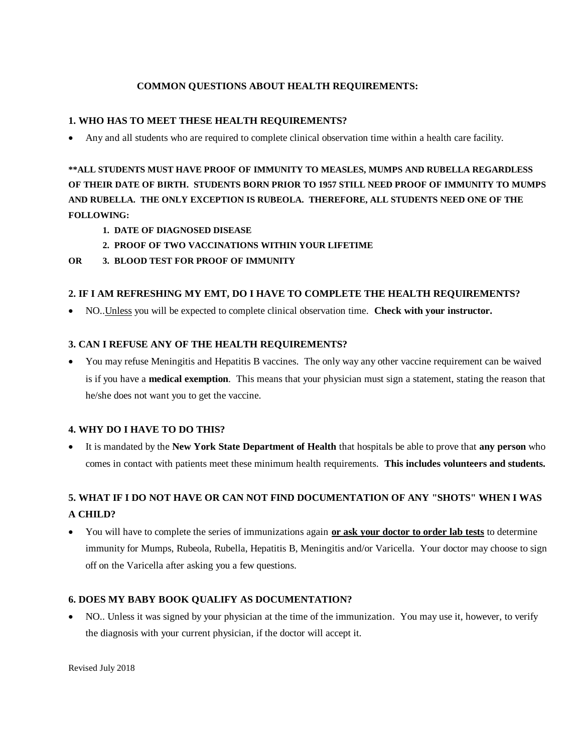## **COMMON QUESTIONS ABOUT HEALTH REQUIREMENTS:**

## **1. WHO HAS TO MEET THESE HEALTH REQUIREMENTS?**

• Any and all students who are required to complete clinical observation time within a health care facility.

**\*\*ALL STUDENTS MUST HAVE PROOF OF IMMUNITY TO MEASLES, MUMPS AND RUBELLA REGARDLESS OF THEIR DATE OF BIRTH. STUDENTS BORN PRIOR TO 1957 STILL NEED PROOF OF IMMUNITY TO MUMPS AND RUBELLA. THE ONLY EXCEPTION IS RUBEOLA. THEREFORE, ALL STUDENTS NEED ONE OF THE FOLLOWING:**

- **1. DATE OF DIAGNOSED DISEASE**
- **2. PROOF OF TWO VACCINATIONS WITHIN YOUR LIFETIME**
- **OR 3. BLOOD TEST FOR PROOF OF IMMUNITY**

## **2. IF I AM REFRESHING MY EMT, DO I HAVE TO COMPLETE THE HEALTH REQUIREMENTS?**

• NO..Unless you will be expected to complete clinical observation time. **Check with your instructor.**

## **3. CAN I REFUSE ANY OF THE HEALTH REQUIREMENTS?**

• You may refuse Meningitis and Hepatitis B vaccines. The only way any other vaccine requirement can be waived is if you have a **medical exemption**. This means that your physician must sign a statement, stating the reason that he/she does not want you to get the vaccine.

## **4. WHY DO I HAVE TO DO THIS?**

• It is mandated by the **New York State Department of Health** that hospitals be able to prove that **any person** who comes in contact with patients meet these minimum health requirements. **This includes volunteers and students.**

# **5. WHAT IF I DO NOT HAVE OR CAN NOT FIND DOCUMENTATION OF ANY "SHOTS" WHEN I WAS A CHILD?**

• You will have to complete the series of immunizations again **or ask your doctor to order lab tests** to determine immunity for Mumps, Rubeola, Rubella, Hepatitis B, Meningitis and/or Varicella. Your doctor may choose to sign off on the Varicella after asking you a few questions.

## **6. DOES MY BABY BOOK QUALIFY AS DOCUMENTATION?**

• NO.. Unless it was signed by your physician at the time of the immunization. You may use it, however, to verify the diagnosis with your current physician, if the doctor will accept it.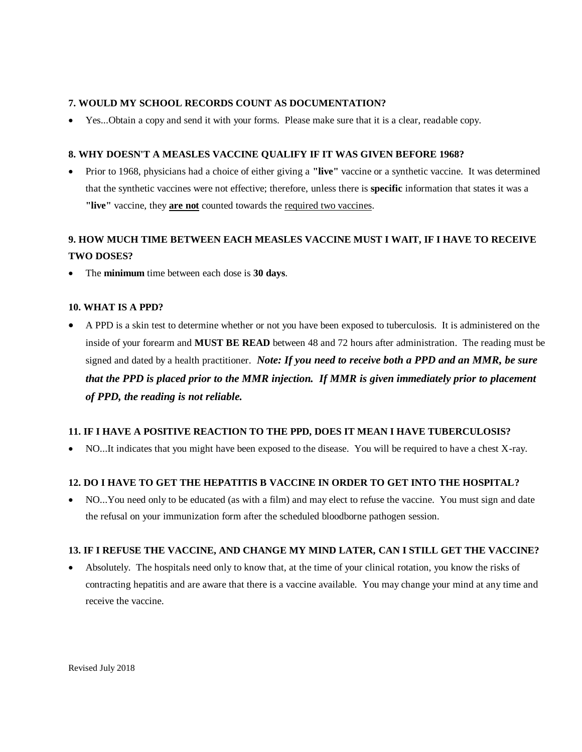#### **7. WOULD MY SCHOOL RECORDS COUNT AS DOCUMENTATION?**

• Yes...Obtain a copy and send it with your forms. Please make sure that it is a clear, readable copy.

#### **8. WHY DOESN'T A MEASLES VACCINE QUALIFY IF IT WAS GIVEN BEFORE 1968?**

• Prior to 1968, physicians had a choice of either giving a **"live"** vaccine or a synthetic vaccine. It was determined that the synthetic vaccines were not effective; therefore, unless there is **specific** information that states it was a **"live"** vaccine, they **are not** counted towards the required two vaccines.

# **9. HOW MUCH TIME BETWEEN EACH MEASLES VACCINE MUST I WAIT, IF I HAVE TO RECEIVE TWO DOSES?**

• The **minimum** time between each dose is **30 days**.

#### **10. WHAT IS A PPD?**

• A PPD is a skin test to determine whether or not you have been exposed to tuberculosis. It is administered on the inside of your forearm and **MUST BE READ** between 48 and 72 hours after administration. The reading must be signed and dated by a health practitioner.*Note: If you need to receive both a PPD and an MMR, be sure that the PPD is placed prior to the MMR injection. If MMR is given immediately prior to placement of PPD, the reading is not reliable.*

#### **11. IF I HAVE A POSITIVE REACTION TO THE PPD, DOES IT MEAN I HAVE TUBERCULOSIS?**

• NO...It indicates that you might have been exposed to the disease. You will be required to have a chest X-ray.

## **12. DO I HAVE TO GET THE HEPATITIS B VACCINE IN ORDER TO GET INTO THE HOSPITAL?**

• NO...You need only to be educated (as with a film) and may elect to refuse the vaccine. You must sign and date the refusal on your immunization form after the scheduled bloodborne pathogen session.

## **13. IF I REFUSE THE VACCINE, AND CHANGE MY MIND LATER, CAN I STILL GET THE VACCINE?**

• Absolutely. The hospitals need only to know that, at the time of your clinical rotation, you know the risks of contracting hepatitis and are aware that there is a vaccine available. You may change your mind at any time and receive the vaccine.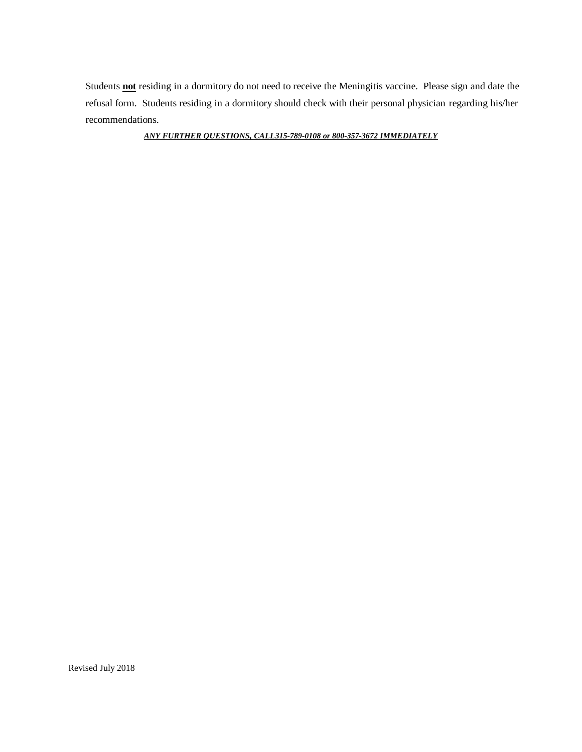Students **not** residing in a dormitory do not need to receive the Meningitis vaccine. Please sign and date the refusal form. Students residing in a dormitory should check with their personal physician regarding his/her recommendations.

*ANY FURTHER QUESTIONS, CALL315-789-0108 or 800-357-3672 IMMEDIATELY*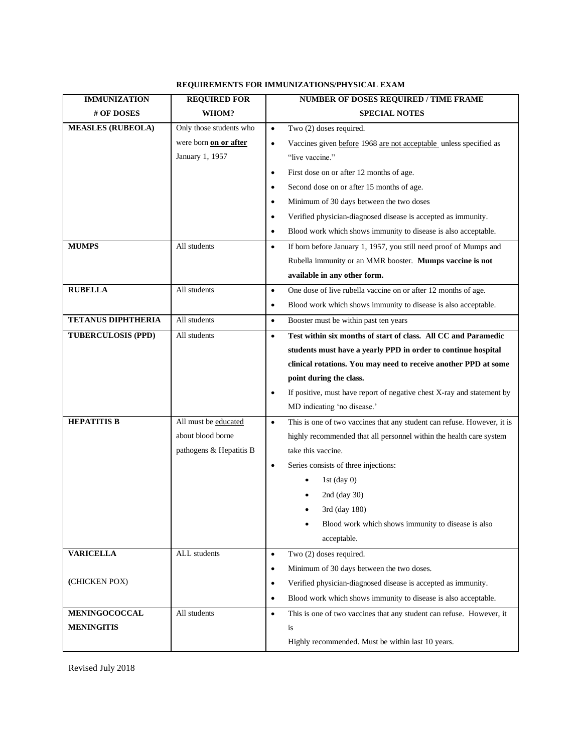## **REQUIREMENTS FOR IMMUNIZATIONS/PHYSICAL EXAM**

| <b>IMMUNIZATION</b>       | <b>REQUIRED FOR</b>     | NUMBER OF DOSES REQUIRED / TIME FRAME                                                |  |  |
|---------------------------|-------------------------|--------------------------------------------------------------------------------------|--|--|
| # OF DOSES                | WHOM?                   | <b>SPECIAL NOTES</b>                                                                 |  |  |
| <b>MEASLES (RUBEOLA)</b>  | Only those students who | Two (2) doses required.<br>$\bullet$                                                 |  |  |
|                           | were born on or after   | Vaccines given before 1968 are not acceptable unless specified as<br>$\bullet$       |  |  |
|                           | January 1, 1957         | "live vaccine."                                                                      |  |  |
|                           |                         | First dose on or after 12 months of age.<br>$\bullet$                                |  |  |
|                           |                         | Second dose on or after 15 months of age.<br>$\bullet$                               |  |  |
|                           |                         | Minimum of 30 days between the two doses<br>$\bullet$                                |  |  |
|                           |                         | Verified physician-diagnosed disease is accepted as immunity.<br>$\bullet$           |  |  |
|                           |                         | Blood work which shows immunity to disease is also acceptable.<br>$\bullet$          |  |  |
| <b>MUMPS</b>              | All students            | If born before January 1, 1957, you still need proof of Mumps and<br>$\bullet$       |  |  |
|                           |                         | Rubella immunity or an MMR booster. Mumps vaccine is not                             |  |  |
|                           |                         | available in any other form.                                                         |  |  |
| <b>RUBELLA</b>            | All students            | One dose of live rubella vaccine on or after 12 months of age.<br>$\bullet$          |  |  |
|                           |                         | Blood work which shows immunity to disease is also acceptable.<br>$\bullet$          |  |  |
| <b>TETANUS DIPHTHERIA</b> | All students            | Booster must be within past ten years<br>$\bullet$                                   |  |  |
| <b>TUBERCULOSIS (PPD)</b> | All students            | Test within six months of start of class. All CC and Paramedic<br>$\bullet$          |  |  |
|                           |                         | students must have a yearly PPD in order to continue hospital                        |  |  |
|                           |                         | clinical rotations. You may need to receive another PPD at some                      |  |  |
|                           |                         | point during the class.                                                              |  |  |
|                           |                         | If positive, must have report of negative chest X-ray and statement by<br>$\bullet$  |  |  |
|                           |                         | MD indicating 'no disease.'                                                          |  |  |
| <b>HEPATITIS B</b>        | All must be educated    | This is one of two vaccines that any student can refuse. However, it is<br>$\bullet$ |  |  |
|                           | about blood borne       | highly recommended that all personnel within the health care system                  |  |  |
|                           | pathogens & Hepatitis B | take this vaccine.                                                                   |  |  |
|                           |                         | Series consists of three injections:<br>$\bullet$                                    |  |  |
|                           |                         | 1st $(\text{day } 0)$                                                                |  |  |
|                           |                         | 2nd (day 30)                                                                         |  |  |
|                           |                         | 3rd (day 180)                                                                        |  |  |
|                           |                         | Blood work which shows immunity to disease is also                                   |  |  |
|                           |                         | acceptable.                                                                          |  |  |
| <b>VARICELLA</b>          | ALL students            | Two (2) doses required.<br>$\bullet$                                                 |  |  |
|                           |                         | Minimum of 30 days between the two doses.<br>$\bullet$                               |  |  |
| (CHICKEN POX)             |                         | Verified physician-diagnosed disease is accepted as immunity.<br>$\bullet$           |  |  |
|                           |                         | Blood work which shows immunity to disease is also acceptable.<br>$\bullet$          |  |  |
| <b>MENINGOCOCCAL</b>      | All students            | This is one of two vaccines that any student can refuse. However, it<br>$\bullet$    |  |  |
| <b>MENINGITIS</b>         |                         | is                                                                                   |  |  |
|                           |                         | Highly recommended. Must be within last 10 years.                                    |  |  |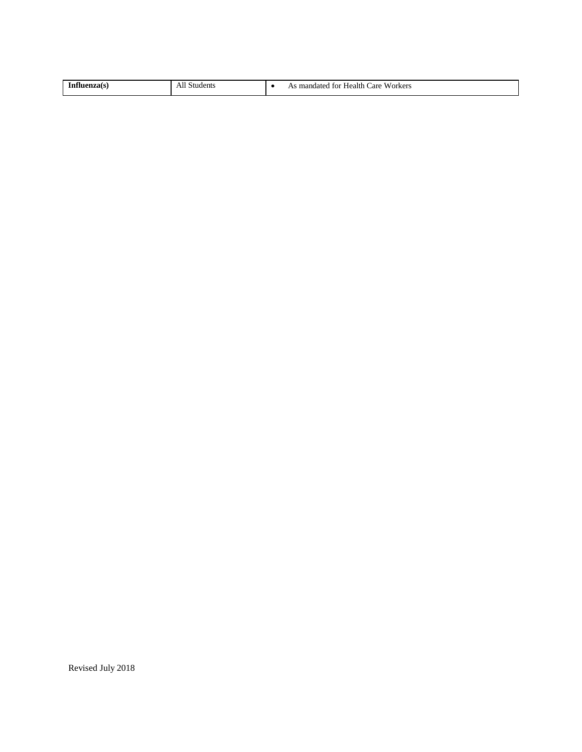| enza(s | dents | Workers<br>are:<br>Health <b>G</b><br>. mandated for<br>٠. |
|--------|-------|------------------------------------------------------------|
|        |       |                                                            |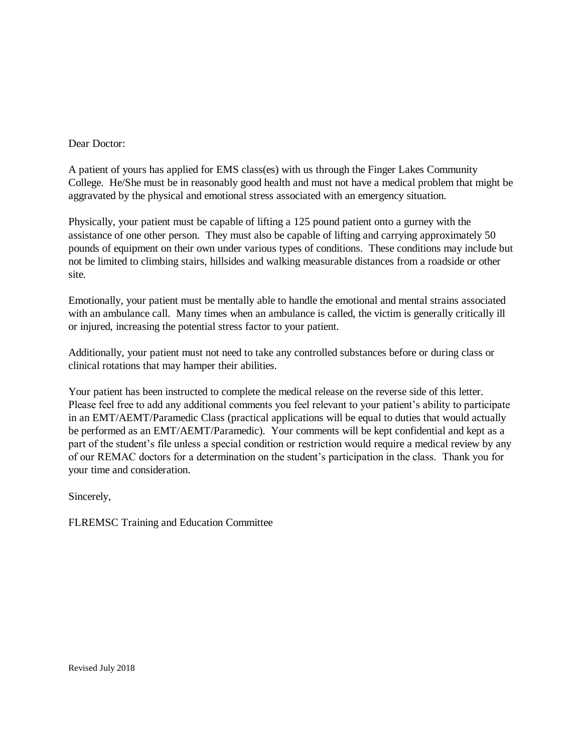## Dear Doctor:

A patient of yours has applied for EMS class(es) with us through the Finger Lakes Community College. He/She must be in reasonably good health and must not have a medical problem that might be aggravated by the physical and emotional stress associated with an emergency situation.

Physically, your patient must be capable of lifting a 125 pound patient onto a gurney with the assistance of one other person. They must also be capable of lifting and carrying approximately 50 pounds of equipment on their own under various types of conditions. These conditions may include but not be limited to climbing stairs, hillsides and walking measurable distances from a roadside or other site.

Emotionally, your patient must be mentally able to handle the emotional and mental strains associated with an ambulance call. Many times when an ambulance is called, the victim is generally critically ill or injured, increasing the potential stress factor to your patient.

Additionally, your patient must not need to take any controlled substances before or during class or clinical rotations that may hamper their abilities.

Your patient has been instructed to complete the medical release on the reverse side of this letter. Please feel free to add any additional comments you feel relevant to your patient's ability to participate in an EMT/AEMT/Paramedic Class (practical applications will be equal to duties that would actually be performed as an EMT/AEMT/Paramedic). Your comments will be kept confidential and kept as a part of the student's file unless a special condition or restriction would require a medical review by any of our REMAC doctors for a determination on the student's participation in the class. Thank you for your time and consideration.

Sincerely,

FLREMSC Training and Education Committee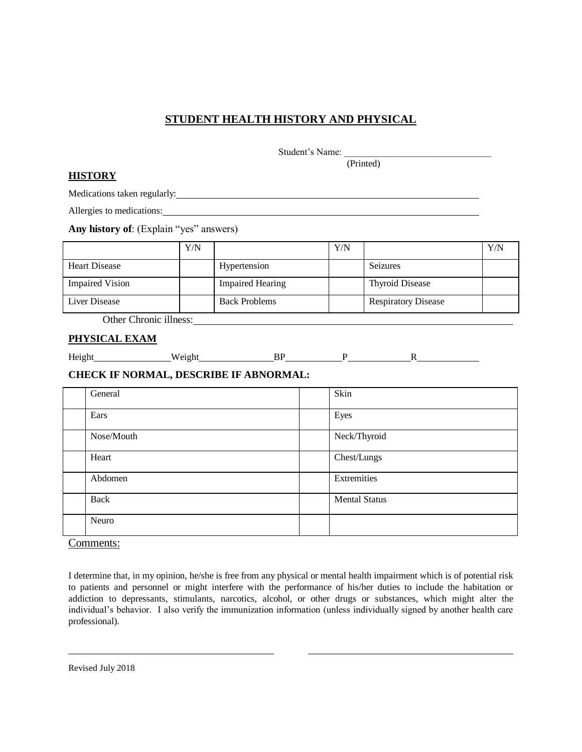## **STUDENT HEALTH HISTORY AND PHYSICAL**

Student's Name:

(Printed)

## **HISTORY**

Medications taken regularly:

Allergies to medications:

**Any history of**: (Explain "yes" answers)

|                                     | Y/N |                         | Y/N |                            | Y/N |
|-------------------------------------|-----|-------------------------|-----|----------------------------|-----|
| <b>Heart Disease</b>                |     | Hypertension            |     | <b>Seizures</b>            |     |
| <b>Impaired Vision</b>              |     | <b>Impaired Hearing</b> |     | <b>Thyroid Disease</b>     |     |
| Liver Disease                       |     | <b>Back Problems</b>    |     | <b>Respiratory Disease</b> |     |
| $\cdots$<br>$\sim$<br>$\sim$ $\sim$ |     |                         |     |                            |     |

Other Chronic illness:

## **PHYSICAL EXAM**

| <b>TT</b><br>deight | $\sim$ $\sim$ $\sim$ $\sim$ $\sim$<br>W<br>41 L<br>. |  |  |
|---------------------|------------------------------------------------------|--|--|
|                     |                                                      |  |  |
|                     |                                                      |  |  |

## **CHECK IF NORMAL, DESCRIBE IF ABNORMAL:**

| General    | Skin                 |
|------------|----------------------|
| Ears       | Eyes                 |
| Nose/Mouth | Neck/Thyroid         |
| Heart      | Chest/Lungs          |
| Abdomen    | Extremities          |
| Back       | <b>Mental Status</b> |
| Neuro      |                      |

Comments:

I determine that, in my opinion, he/she is free from any physical or mental health impairment which is of potential risk to patients and personnel or might interfere with the performance of his/her duties to include the habitation or addiction to depressants, stimulants, narcotics, alcohol, or other drugs or substances, which might alter the individual's behavior. I also verify the immunization information (unless individually signed by another health care professional).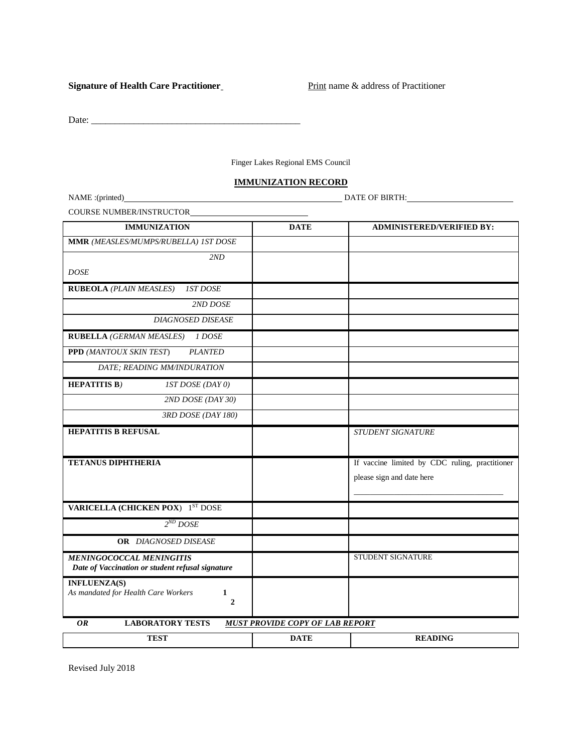#### **Signature of Health Care Practitioner** Print name & address of Practitioner

Date: \_\_\_\_\_\_\_\_\_\_\_\_\_\_\_\_\_\_\_\_\_\_\_\_\_\_\_\_\_\_\_\_\_\_\_\_\_\_\_\_\_\_\_\_

Finger Lakes Regional EMS Council

#### **IMMUNIZATION RECORD**

NAME :(printed) DATE OF BIRTH:

COURSE NUMBER/INSTRUCTOR

| <b>IMMUNIZATION</b>                                                                 | <b>DATE</b>                            | <b>ADMINISTERED/VERIFIED BY:</b>               |
|-------------------------------------------------------------------------------------|----------------------------------------|------------------------------------------------|
| MMR (MEASLES/MUMPS/RUBELLA) IST DOSE                                                |                                        |                                                |
| 2ND                                                                                 |                                        |                                                |
| <b>DOSE</b>                                                                         |                                        |                                                |
| <b>RUBEOLA</b> (PLAIN MEASLES)<br><b>IST DOSE</b>                                   |                                        |                                                |
| 2ND DOSE                                                                            |                                        |                                                |
| <b>DIAGNOSED DISEASE</b>                                                            |                                        |                                                |
| <b>RUBELLA (GERMAN MEASLES)</b><br>1 DOSE                                           |                                        |                                                |
| <b>PLANTED</b><br><b>PPD</b> (MANTOUX SKIN TEST)                                    |                                        |                                                |
| DATE; READING MM/INDURATION                                                         |                                        |                                                |
| <b>HEPATITIS B)</b><br><b>IST DOSE (DAY 0)</b>                                      |                                        |                                                |
| 2ND DOSE (DAY 30)                                                                   |                                        |                                                |
| 3RD DOSE (DAY 180)                                                                  |                                        |                                                |
| <b>HEPATITIS B REFUSAL</b>                                                          |                                        | STUDENT SIGNATURE                              |
|                                                                                     |                                        |                                                |
| <b>TETANUS DIPHTHERIA</b>                                                           |                                        | If vaccine limited by CDC ruling, practitioner |
|                                                                                     |                                        | please sign and date here                      |
|                                                                                     |                                        |                                                |
| <b>VARICELLA (CHICKEN POX)</b> 1ST DOSE                                             |                                        |                                                |
| $2^{ND}$ DOSE                                                                       |                                        |                                                |
| <b>OR</b> DIAGNOSED DISEASE                                                         |                                        |                                                |
| <b>MENINGOCOCCAL MENINGITIS</b><br>Date of Vaccination or student refusal signature |                                        | STUDENT SIGNATURE                              |
| <b>INFLUENZA(S)</b>                                                                 |                                        |                                                |
| As mandated for Health Care Workers<br>$\mathbf{1}$                                 |                                        |                                                |
| $\mathbf{2}$                                                                        |                                        |                                                |
| <b>LABORATORY TESTS</b><br><b>OR</b>                                                | <b>MUST PROVIDE COPY OF LAB REPORT</b> |                                                |
| <b>TEST</b>                                                                         | <b>DATE</b>                            | <b>READING</b>                                 |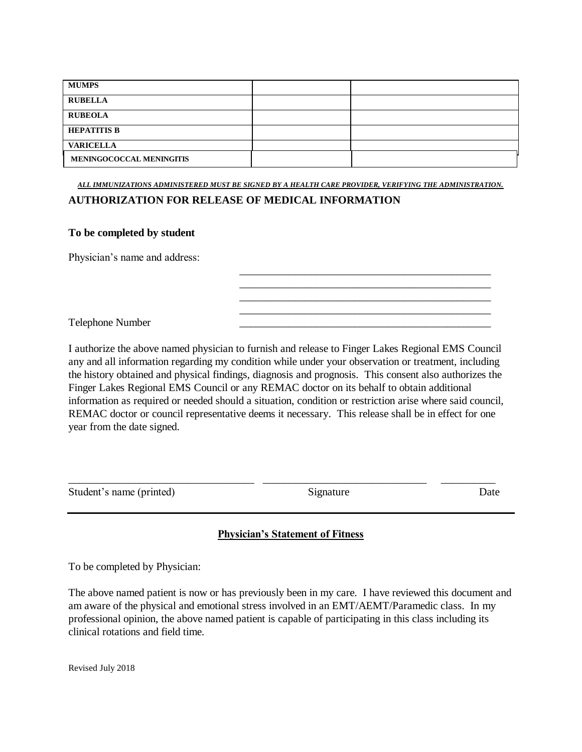| <b>MUMPS</b>             |  |
|--------------------------|--|
| <b>RUBELLA</b>           |  |
| <b>RUBEOLA</b>           |  |
| <b>HEPATITIS B</b>       |  |
| <b>VARICELLA</b>         |  |
| MENINGOCOCCAL MENINGITIS |  |

*ALL IMMUNIZATIONS ADMINISTERED MUST BE SIGNED BY A HEALTH CARE PROVIDER, VERIFYING THE ADMINISTRATION.*

## **AUTHORIZATION FOR RELEASE OF MEDICAL INFORMATION**

## **To be completed by student**

Physician's name and address:

Telephone Number \_\_\_\_\_\_\_\_\_\_\_\_\_\_\_\_\_\_\_\_\_\_\_\_\_\_\_\_\_\_\_\_\_\_\_\_\_\_\_\_\_\_\_\_\_\_

I authorize the above named physician to furnish and release to Finger Lakes Regional EMS Council any and all information regarding my condition while under your observation or treatment, including the history obtained and physical findings, diagnosis and prognosis. This consent also authorizes the Finger Lakes Regional EMS Council or any REMAC doctor on its behalf to obtain additional information as required or needed should a situation, condition or restriction arise where said council, REMAC doctor or council representative deems it necessary. This release shall be in effect for one year from the date signed.

| Student's name (printed) | alunanine i |  |
|--------------------------|-------------|--|

\_\_\_\_\_\_\_\_\_\_\_\_\_\_\_\_\_\_\_\_\_\_\_\_\_\_\_\_\_\_\_\_\_\_\_\_\_\_\_\_\_\_\_\_\_\_ \_\_\_\_\_\_\_\_\_\_\_\_\_\_\_\_\_\_\_\_\_\_\_\_\_\_\_\_\_\_\_\_\_\_\_\_\_\_\_\_\_\_\_\_\_\_ \_\_\_\_\_\_\_\_\_\_\_\_\_\_\_\_\_\_\_\_\_\_\_\_\_\_\_\_\_\_\_\_\_\_\_\_\_\_\_\_\_\_\_\_\_\_ \_\_\_\_\_\_\_\_\_\_\_\_\_\_\_\_\_\_\_\_\_\_\_\_\_\_\_\_\_\_\_\_\_\_\_\_\_\_\_\_\_\_\_\_\_\_

## **Physician's Statement of Fitness**

To be completed by Physician:

The above named patient is now or has previously been in my care. I have reviewed this document and am aware of the physical and emotional stress involved in an EMT/AEMT/Paramedic class. In my professional opinion, the above named patient is capable of participating in this class including its clinical rotations and field time.